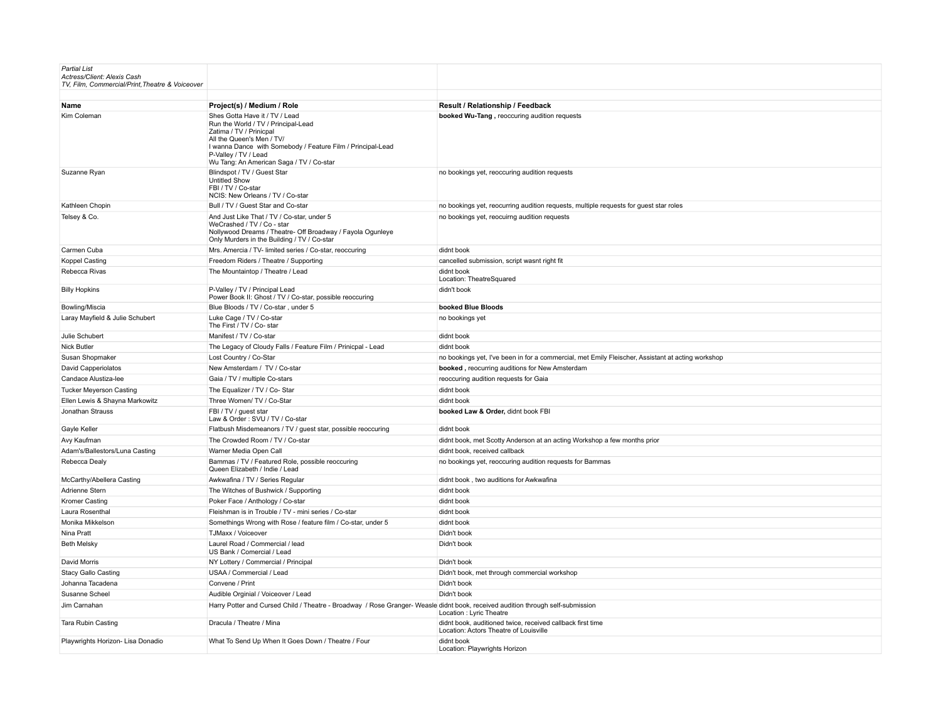| <b>Partial List</b><br>Actress/Client: Alexis Cash<br>TV, Film, Commercial/Print, Theatre & Voiceover |                                                                                                                                                                                                                                                                  |                                                                                                      |
|-------------------------------------------------------------------------------------------------------|------------------------------------------------------------------------------------------------------------------------------------------------------------------------------------------------------------------------------------------------------------------|------------------------------------------------------------------------------------------------------|
|                                                                                                       |                                                                                                                                                                                                                                                                  |                                                                                                      |
| Name                                                                                                  | Project(s) / Medium / Role                                                                                                                                                                                                                                       | Result / Relationship / Feedback                                                                     |
| Kim Coleman                                                                                           | Shes Gotta Have it / TV / Lead<br>Run the World / TV / Principal-Lead<br>Zatima / TV / Prinicpal<br>All the Queen's Men / TV/<br>I wanna Dance with Somebody / Feature Film / Principal-Lead<br>P-Valley / TV / Lead<br>Wu Tang: An American Saga / TV / Co-star | booked Wu-Tang, reoccuring audition requests                                                         |
| Suzanne Ryan                                                                                          | Blindspot / TV / Guest Star<br><b>Untitled Show</b><br>FBI / TV / Co-star<br>NCIS: New Orleans / TV / Co-star                                                                                                                                                    | no bookings yet, reoccuring audition requests                                                        |
| Kathleen Chopin                                                                                       | Bull / TV / Guest Star and Co-star                                                                                                                                                                                                                               | no bookings yet, reocurring audition requests, multiple requests for guest star roles                |
| Telsey & Co.                                                                                          | And Just Like That / TV / Co-star, under 5<br>WeCrashed / TV / Co - star<br>Nollywood Dreams / Theatre- Off Broadway / Fayola Ogunleye<br>Only Murders in the Building / TV / Co-star                                                                            | no bookings yet, reocuirng audition requests                                                         |
| Carmen Cuba                                                                                           | Mrs. Amercia / TV- limited series / Co-star, reoccuring                                                                                                                                                                                                          | didnt book                                                                                           |
| Koppel Casting                                                                                        | Freedom Riders / Theatre / Supporting                                                                                                                                                                                                                            | cancelled submission, script wasnt right fit                                                         |
| Rebecca Rivas                                                                                         | The Mountaintop / Theatre / Lead                                                                                                                                                                                                                                 | didnt book<br>Location: TheatreSquared                                                               |
| <b>Billy Hopkins</b>                                                                                  | P-Valley / TV / Principal Lead<br>Power Book II: Ghost / TV / Co-star, possible reoccuring                                                                                                                                                                       | didn't book                                                                                          |
| Bowling/Miscia                                                                                        | Blue Bloods / TV / Co-star, under 5                                                                                                                                                                                                                              | booked Blue Bloods                                                                                   |
| Laray Mayfield & Julie Schubert                                                                       | Luke Cage / TV / Co-star<br>The First / TV / Co- star                                                                                                                                                                                                            | no bookings yet                                                                                      |
| Julie Schubert                                                                                        | Manifest / TV / Co-star                                                                                                                                                                                                                                          | didnt book                                                                                           |
| <b>Nick Butler</b>                                                                                    | The Legacy of Cloudy Falls / Feature Film / Prinicpal - Lead                                                                                                                                                                                                     | didnt book                                                                                           |
| Susan Shopmaker                                                                                       | Lost Country / Co-Star                                                                                                                                                                                                                                           | no bookings yet, I've been in for a commercial, met Emily Fleischer, Assistant at acting workshop    |
| David Capperiolatos                                                                                   | New Amsterdam / TV / Co-star                                                                                                                                                                                                                                     | booked, reocurring auditions for New Amsterdam                                                       |
| Candace Alustiza-lee                                                                                  | Gaia / TV / multiple Co-stars                                                                                                                                                                                                                                    | reoccuring audition requests for Gaia                                                                |
| <b>Tucker Meyerson Casting</b>                                                                        | The Equalizer / TV / Co- Star                                                                                                                                                                                                                                    | didnt book                                                                                           |
| Ellen Lewis & Shayna Markowitz                                                                        | Three Women/ TV / Co-Star                                                                                                                                                                                                                                        | didnt book                                                                                           |
| Jonathan Strauss                                                                                      | FBI / TV / guest star<br>Law & Order: SVU / TV / Co-star                                                                                                                                                                                                         | booked Law & Order, didnt book FBI                                                                   |
| Gayle Keller                                                                                          | Flatbush Misdemeanors / TV / guest star, possible reoccuring                                                                                                                                                                                                     | didnt book                                                                                           |
| Avy Kaufman                                                                                           | The Crowded Room / TV / Co-star                                                                                                                                                                                                                                  | didnt book, met Scotty Anderson at an acting Workshop a few months prior                             |
| Adam's/Ballestors/Luna Casting                                                                        | Warner Media Open Call                                                                                                                                                                                                                                           | didnt book, received callback                                                                        |
| Rebecca Dealy                                                                                         | Bammas / TV / Featured Role, possible reoccuring<br>Queen Elizabeth / Indie / Lead                                                                                                                                                                               | no bookings yet, reoccuring audition requests for Bammas                                             |
| McCarthy/Abellera Casting                                                                             | Awkwafina / TV / Series Regular                                                                                                                                                                                                                                  | didnt book, two auditions for Awkwafina                                                              |
| Adrienne Stern                                                                                        | The Witches of Bushwick / Supporting                                                                                                                                                                                                                             | didnt book                                                                                           |
| Kromer Casting                                                                                        | Poker Face / Anthology / Co-star                                                                                                                                                                                                                                 | didnt book                                                                                           |
| Laura Rosenthal                                                                                       | Fleishman is in Trouble / TV - mini series / Co-star                                                                                                                                                                                                             | didnt book                                                                                           |
| Monika Mikkelson                                                                                      | Somethings Wrong with Rose / feature film / Co-star, under 5                                                                                                                                                                                                     | didnt book                                                                                           |
| Nina Pratt                                                                                            | TJMaxx / Voiceover                                                                                                                                                                                                                                               | Didn't book                                                                                          |
| <b>Beth Melsky</b>                                                                                    | Laurel Road / Commercial / lead<br>US Bank / Comercial / Lead                                                                                                                                                                                                    | Didn't book                                                                                          |
| David Morris                                                                                          | NY Lottery / Commercial / Principal                                                                                                                                                                                                                              | Didn't book                                                                                          |
| <b>Stacy Gallo Casting</b>                                                                            | USAA / Commercial / Lead                                                                                                                                                                                                                                         | Didn't book, met through commercial workshop                                                         |
| Johanna Tacadena                                                                                      | Convene / Print                                                                                                                                                                                                                                                  | Didn't book                                                                                          |
| Susanne Scheel                                                                                        | Audible Orginial / Voiceover / Lead                                                                                                                                                                                                                              | Didn't book                                                                                          |
| Jim Carnahan                                                                                          | Harry Potter and Cursed Child / Theatre - Broadway / Rose Granger-Weasle didnt book, received audition through self-submission                                                                                                                                   | Location : Lyric Theatre                                                                             |
| <b>Tara Rubin Casting</b>                                                                             | Dracula / Theatre / Mina                                                                                                                                                                                                                                         | didnt book, auditioned twice, received callback first time<br>Location: Actors Theatre of Louisville |
| Playwrights Horizon- Lisa Donadio                                                                     | What To Send Up When It Goes Down / Theatre / Four                                                                                                                                                                                                               | didnt book<br>Location: Playwrights Horizon                                                          |